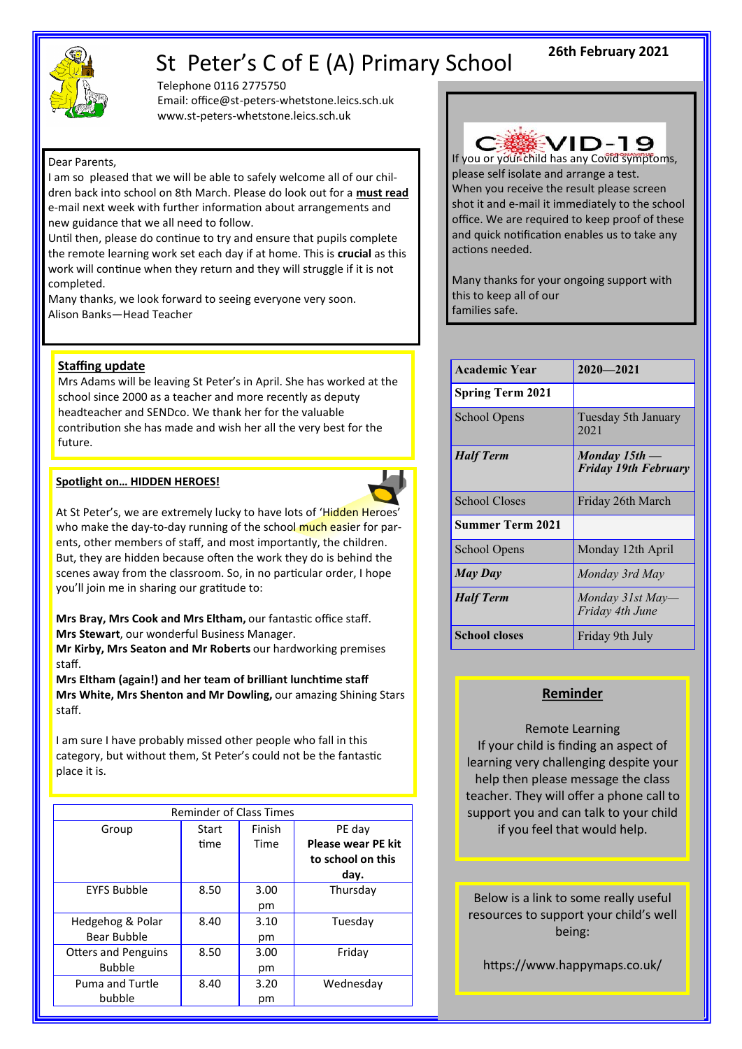

# St Peter's C of E (A) Primary School

Telephone 0116 2775750 Email: office@st-peters-whetstone.leics.sch.uk www.st-peters-whetstone.leics.sch.uk

#### Dear Parents,

I am so pleased that we will be able to safely welcome all of our children back into school on 8th March. Please do look out for a **must read**  e-mail next week with further information about arrangements and new guidance that we all need to follow.

Until then, please do continue to try and ensure that pupils complete the remote learning work set each day if at home. This is **crucial** as this work will continue when they return and they will struggle if it is not completed.

Many thanks, we look forward to seeing everyone very soon. Alison Banks—Head Teacher

#### **Staffing update**

Mrs Adams will be leaving St Peter's in April. She has worked at the school since 2000 as a teacher and more recently as deputy headteacher and SENDco. We thank her for the valuable contribution she has made and wish her all the very best for the future.

#### **Spotlight on… HIDDEN HEROES!**



At St Peter's, we are extremely lucky to have lots of 'Hidden Heroes' who make the day-to-day running of the school much easier for parents, other members of staff, and most importantly, the children. But, they are hidden because often the work they do is behind the scenes away from the classroom. So, in no particular order, I hope you'll join me in sharing our gratitude to:

**Mrs Bray, Mrs Cook and Mrs Eltham,** our fantastic office staff. **Mrs Stewart**, our wonderful Business Manager.

**Mr Kirby, Mrs Seaton and Mr Roberts** our hardworking premises staff.

**Mrs Eltham (again!) and her team of brilliant lunchtime staff Mrs White, Mrs Shenton and Mr Dowling,** our amazing Shining Stars staff.

I am sure I have probably missed other people who fall in this category, but without them, St Peter's could not be the fantastic place it is.

| <b>Reminder of Class Times</b>              |       |            |                                                        |  |
|---------------------------------------------|-------|------------|--------------------------------------------------------|--|
| Group                                       | Start | Finish     | PE day                                                 |  |
|                                             | time  | Time       | <b>Please wear PE kit</b><br>to school on this<br>day. |  |
| <b>EYFS Bubble</b>                          | 8.50  | 3.00<br>pm | Thursday                                               |  |
| Hedgehog & Polar<br>Bear Bubble             | 8.40  | 3.10<br>pm | Tuesday                                                |  |
| <b>Otters and Penguins</b><br><b>Bubble</b> | 8.50  | 3.00<br>pm | Friday                                                 |  |
| Puma and Turtle<br>bubble                   | 8.40  | 3.20<br>pm | Wednesday                                              |  |



If you or your child has any Covid symptoms, please self isolate and arrange a test. When you receive the result please screen shot it and e-mail it immediately to the school office. We are required to keep proof of these and quick notification enables us to take any actions needed.

Many thanks for your ongoing support with this to keep all of our families safe.

| <b>Academic Year</b> | $2020 - 2021$                                  |
|----------------------|------------------------------------------------|
| Spring Term 2021     |                                                |
| School Opens         | Tuesday 5th January<br>2021                    |
| <b>Half Term</b>     | Monday $15th$ —<br><b>Friday 19th February</b> |
| School Closes        | Friday 26th March                              |
| Summer Term 2021     |                                                |
| School Opens         | Monday 12th April                              |
| May Day              | Monday 3rd May                                 |
| <b>Half Term</b>     | Monday 31st May-<br>Friday 4th June            |
| <b>School closes</b> | Friday 9th July                                |

### **Reminder**

Remote Learning If your child is finding an aspect of learning very challenging despite your help then please message the class teacher. They will offer a phone call to support you and can talk to your child if you feel that would help.

Below is a link to some really useful resources to support your child's well being:

https://www.happymaps.co.uk/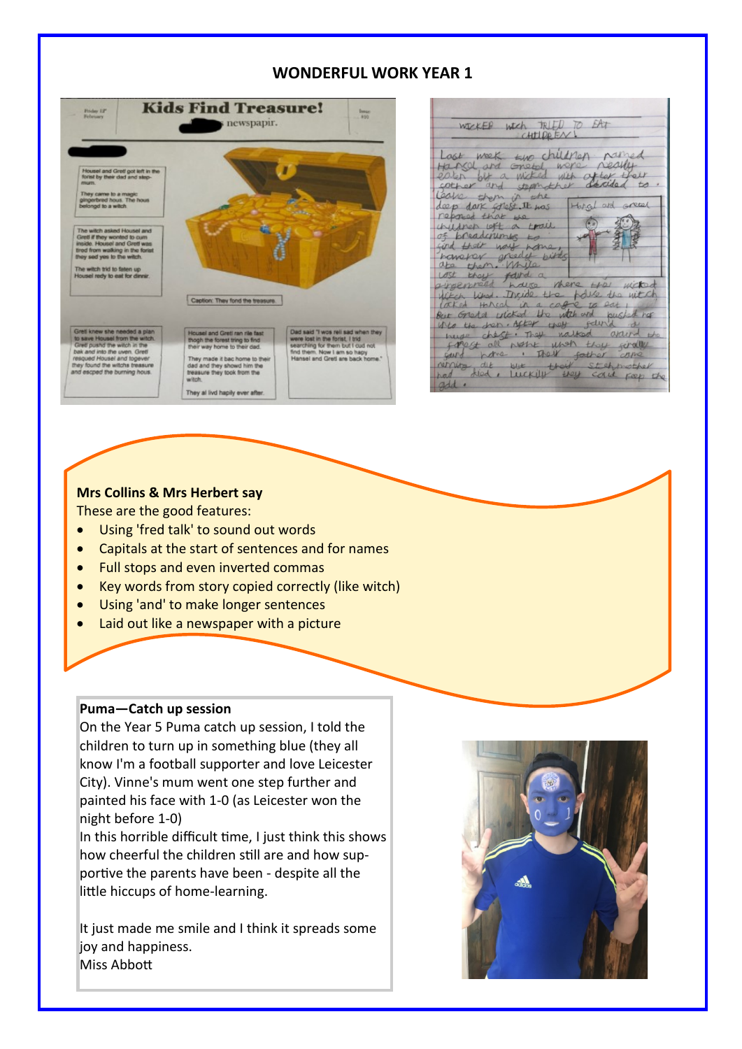# **WONDERFUL WORK YEAR 1**



| WEEKER WICH TRIED TO EAT                                                    |
|-----------------------------------------------------------------------------|
|                                                                             |
|                                                                             |
| Lost week two children pamed                                                |
| Harry and onetal, were really                                               |
| eater out a wicked with after their                                         |
| sother and stephather decided to                                            |
| leave them in the                                                           |
| deep dark solest. It was Horsel and green<br>reposed that the               |
| 50<br>wildrep left a trail                                                  |
| of breadcrumes to                                                           |
| find their way nome,                                                        |
| havever greedy birds                                                        |
| ate them. Mile                                                              |
| experiment found a where the miched                                         |
|                                                                             |
| Whiteh liked. Inside the folls the witch<br>laked threal in a cage to eat , |
| But Gretel wicked the witch and pushed her                                  |
| into the dren. After they felind a                                          |
| nuse cheft. They nalted around the                                          |
| forest all not unon they finally                                            |
| said home . Their sather come                                               |
| not die blue that stahnather                                                |
|                                                                             |
| gdd.                                                                        |

# **Mrs Collins & Mrs Herbert say**

These are the good features:

- Using 'fred talk' to sound out words
- Capitals at the start of sentences and for names
- Full stops and even inverted commas
- Key words from story copied correctly (like witch)
- Using 'and' to make longer sentences
- Laid out like a newspaper with a picture

#### **Puma—Catch up session**

On the Year 5 Puma catch up session, I told the children to turn up in something blue (they all know I'm a football supporter and love Leicester City). Vinne's mum went one step further and painted his face with 1-0 (as Leicester won the night before 1-0)

In this horrible difficult time, I just think this shows how cheerful the children still are and how supportive the parents have been - despite all the little hiccups of home-learning.

It just made me smile and I think it spreads some joy and happiness. Miss Abbott

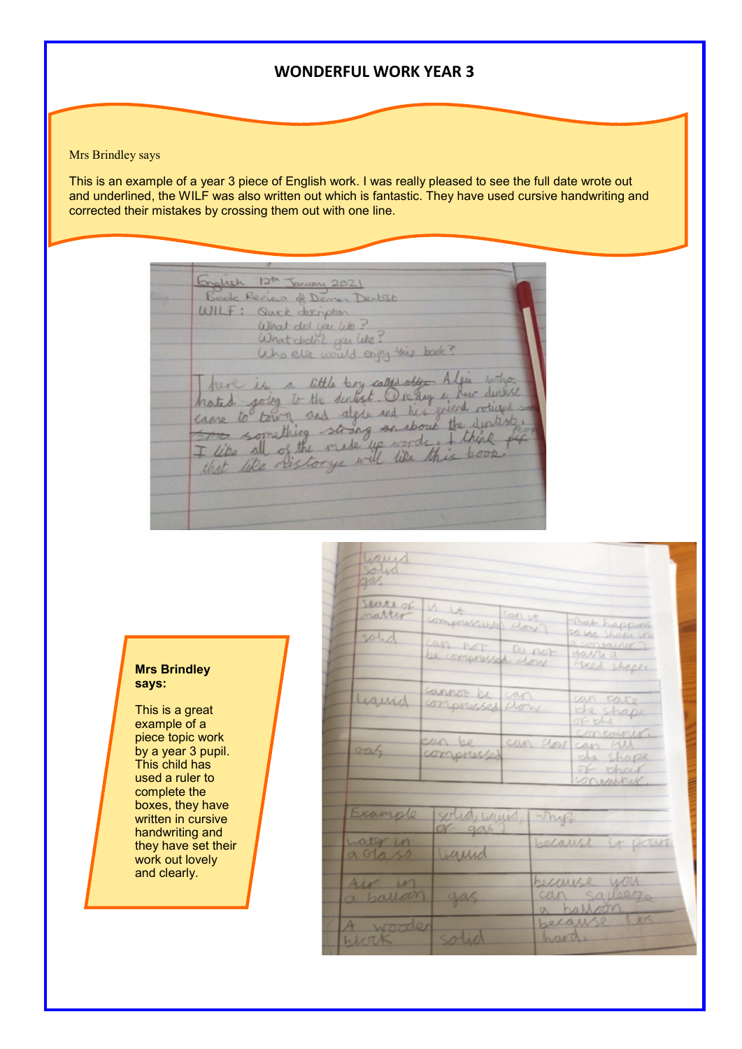# **WONDERFUL WORK YEAR 3**

#### Mrs Brindley says

This is an example of a year 3 piece of English work. I was really pleased to see the full date wrote out and underlined, the WILF was also written out which is fantastic. They have used cursive handwriting and corrected their mistakes by crossing them out with one line.

English 12th January 2021 Book Review of Deman Dentist WILF: Quick derivation What did you like? What cholict you like? Who else would enjoy this book? here is a little boy called after Algie who hated joing to the declient. Or day is not delivered<br>came to town and algie and his griend rotages

issued

#### solid sperte of  $\frac{16}{cm} \frac{14}{cm}$ Compressible close matter That happens sous shape un salid can not a consainer 7<br>Havri 9<br>Fixed shapes  $00$  not be compressed dow cannot be can un rate Liquid  $0 - E - 1$ container can be can flow can rill Gas of their onwinner Example solid, wain Whiff gas water in because it pours actoss iguid Air in securise you cen squeez a balloon gas  $+x6$ because A wooder olich hard  $h117K$

#### **Mrs Brindley says:**

This is a great example of a piece topic work by a year 3 pupil. This child has used a ruler to complete the boxes, they have written in cursive handwriting and they have set their work out lovely and clearly.